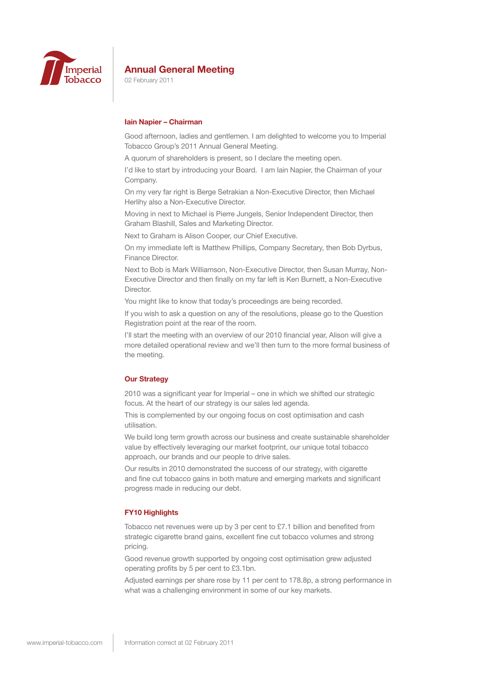

02 February 2011

### **Iain Napier – Chairman**

Good afternoon, ladies and gentlemen. I am delighted to welcome you to Imperial Tobacco Group's 2011 Annual General Meeting.

A quorum of shareholders is present, so I declare the meeting open.

I'd like to start by introducing your Board. I am Iain Napier, the Chairman of your Company.

On my very far right is Berge Setrakian a Non-Executive Director, then Michael Herlihy also a Non-Executive Director.

Moving in next to Michael is Pierre Jungels, Senior Independent Director, then Graham Blashill, Sales and Marketing Director.

Next to Graham is Alison Cooper, our Chief Executive.

On my immediate left is Matthew Phillips, Company Secretary, then Bob Dyrbus, Finance Director.

Next to Bob is Mark Williamson, Non-Executive Director, then Susan Murray, Non-Executive Director and then finally on my far left is Ken Burnett, a Non-Executive Director.

You might like to know that today's proceedings are being recorded.

If you wish to ask a question on any of the resolutions, please go to the Question Registration point at the rear of the room.

I'll start the meeting with an overview of our 2010 financial year, Alison will give a more detailed operational review and we'll then turn to the more formal business of the meeting.

### **Our Strategy**

2010 was a significant year for Imperial – one in which we shifted our strategic focus. At the heart of our strategy is our sales led agenda.

This is complemented by our ongoing focus on cost optimisation and cash utilisation.

We build long term growth across our business and create sustainable shareholder value by effectively leveraging our market footprint, our unique total tobacco approach, our brands and our people to drive sales.

Our results in 2010 demonstrated the success of our strategy, with cigarette and fine cut tobacco gains in both mature and emerging markets and significant progress made in reducing our debt.

### **FY10 Highlights**

Tobacco net revenues were up by 3 per cent to £7.1 billion and benefited from strategic cigarette brand gains, excellent fine cut tobacco volumes and strong pricing.

Good revenue growth supported by ongoing cost optimisation grew adjusted operating profits by 5 per cent to £3.1bn.

Adjusted earnings per share rose by 11 per cent to 178.8p, a strong performance in what was a challenging environment in some of our key markets.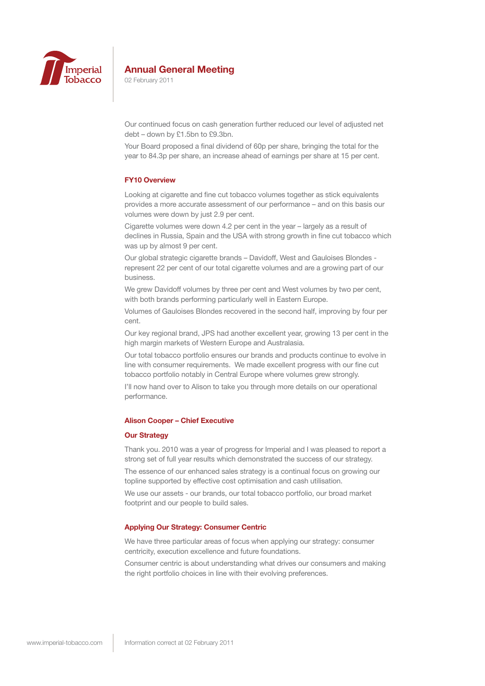

02 February 2011

Our continued focus on cash generation further reduced our level of adjusted net debt – down by £1.5bn to £9.3bn.

Your Board proposed a final dividend of 60p per share, bringing the total for the year to 84.3p per share, an increase ahead of earnings per share at 15 per cent.

### **FY10 Overview**

Looking at cigarette and fine cut tobacco volumes together as stick equivalents provides a more accurate assessment of our performance – and on this basis our volumes were down by just 2.9 per cent.

Cigarette volumes were down 4.2 per cent in the year – largely as a result of declines in Russia, Spain and the USA with strong growth in fine cut tobacco which was up by almost 9 per cent.

Our global strategic cigarette brands – Davidoff, West and Gauloises Blondes represent 22 per cent of our total cigarette volumes and are a growing part of our business.

We grew Davidoff volumes by three per cent and West volumes by two per cent, with both brands performing particularly well in Eastern Europe.

Volumes of Gauloises Blondes recovered in the second half, improving by four per cent.

Our key regional brand, JPS had another excellent year, growing 13 per cent in the high margin markets of Western Europe and Australasia.

Our total tobacco portfolio ensures our brands and products continue to evolve in line with consumer requirements. We made excellent progress with our fine cut tobacco portfolio notably in Central Europe where volumes grew strongly.

I'll now hand over to Alison to take you through more details on our operational performance.

### **Alison Cooper – Chief Executive**

### **Our Strategy**

Thank you. 2010 was a year of progress for Imperial and I was pleased to report a strong set of full year results which demonstrated the success of our strategy.

The essence of our enhanced sales strategy is a continual focus on growing our topline supported by effective cost optimisation and cash utilisation.

We use our assets - our brands, our total tobacco portfolio, our broad market footprint and our people to build sales.

### **Applying Our Strategy: Consumer Centric**

We have three particular areas of focus when applying our strategy: consumer centricity, execution excellence and future foundations.

Consumer centric is about understanding what drives our consumers and making the right portfolio choices in line with their evolving preferences.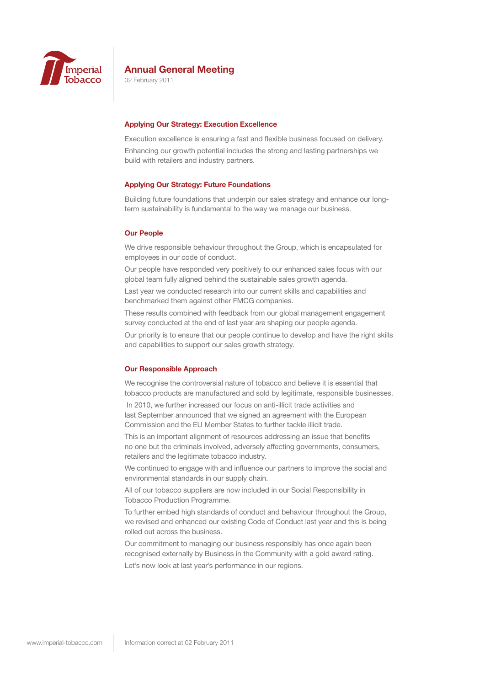

02 February 2011

### **Applying Our Strategy: Execution Excellence**

Execution excellence is ensuring a fast and flexible business focused on delivery. Enhancing our growth potential includes the strong and lasting partnerships we build with retailers and industry partners.

### **Applying Our Strategy: Future Foundations**

Building future foundations that underpin our sales strategy and enhance our longterm sustainability is fundamental to the way we manage our business.

#### **Our People**

We drive responsible behaviour throughout the Group, which is encapsulated for employees in our code of conduct.

Our people have responded very positively to our enhanced sales focus with our global team fully aligned behind the sustainable sales growth agenda.

Last year we conducted research into our current skills and capabilities and benchmarked them against other FMCG companies.

These results combined with feedback from our global management engagement survey conducted at the end of last year are shaping our people agenda.

Our priority is to ensure that our people continue to develop and have the right skills and capabilities to support our sales growth strategy.

### **Our Responsible Approach**

We recognise the controversial nature of tobacco and believe it is essential that tobacco products are manufactured and sold by legitimate, responsible businesses.

 In 2010, we further increased our focus on anti-illicit trade activities and last September announced that we signed an agreement with the European Commission and the EU Member States to further tackle illicit trade.

This is an important alignment of resources addressing an issue that benefits no one but the criminals involved, adversely affecting governments, consumers, retailers and the legitimate tobacco industry.

We continued to engage with and influence our partners to improve the social and environmental standards in our supply chain.

All of our tobacco suppliers are now included in our Social Responsibility in Tobacco Production Programme.

To further embed high standards of conduct and behaviour throughout the Group, we revised and enhanced our existing Code of Conduct last year and this is being rolled out across the business.

Our commitment to managing our business responsibly has once again been recognised externally by Business in the Community with a gold award rating.

Let's now look at last year's performance in our regions.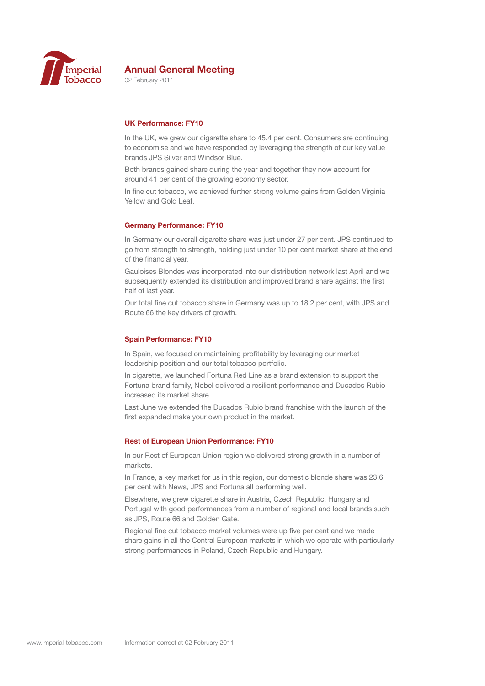

02 February 2011

### **UK Performance: FY10**

In the UK, we grew our cigarette share to 45.4 per cent. Consumers are continuing to economise and we have responded by leveraging the strength of our key value brands JPS Silver and Windsor Blue.

Both brands gained share during the year and together they now account for around 41 per cent of the growing economy sector.

In fine cut tobacco, we achieved further strong volume gains from Golden Virginia Yellow and Gold Leaf.

### **Germany Performance: FY10**

In Germany our overall cigarette share was just under 27 per cent. JPS continued to go from strength to strength, holding just under 10 per cent market share at the end of the financial year.

Gauloises Blondes was incorporated into our distribution network last April and we subsequently extended its distribution and improved brand share against the first half of last year.

Our total fine cut tobacco share in Germany was up to 18.2 per cent, with JPS and Route 66 the key drivers of growth.

### **Spain Performance: FY10**

In Spain, we focused on maintaining profitability by leveraging our market leadership position and our total tobacco portfolio.

In cigarette, we launched Fortuna Red Line as a brand extension to support the Fortuna brand family, Nobel delivered a resilient performance and Ducados Rubio increased its market share.

Last June we extended the Ducados Rubio brand franchise with the launch of the first expanded make your own product in the market.

### **Rest of European Union Performance: FY10**

In our Rest of European Union region we delivered strong growth in a number of markets.

In France, a key market for us in this region, our domestic blonde share was 23.6 per cent with News, JPS and Fortuna all performing well.

Elsewhere, we grew cigarette share in Austria, Czech Republic, Hungary and Portugal with good performances from a number of regional and local brands such as JPS, Route 66 and Golden Gate.

Regional fine cut tobacco market volumes were up five per cent and we made share gains in all the Central European markets in which we operate with particularly strong performances in Poland, Czech Republic and Hungary.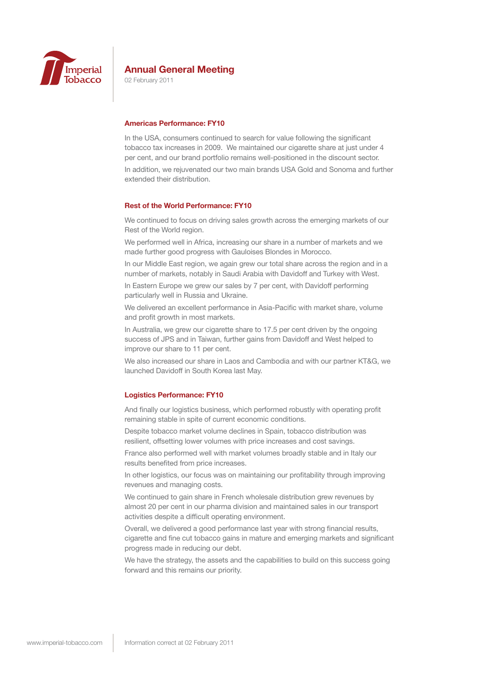

02 February 2011

### **Americas Performance: FY10**

In the USA, consumers continued to search for value following the significant tobacco tax increases in 2009. We maintained our cigarette share at just under 4 per cent, and our brand portfolio remains well-positioned in the discount sector.

In addition, we rejuvenated our two main brands USA Gold and Sonoma and further extended their distribution.

### **Rest of the World Performance: FY10**

We continued to focus on driving sales growth across the emerging markets of our Rest of the World region.

We performed well in Africa, increasing our share in a number of markets and we made further good progress with Gauloises Blondes in Morocco.

In our Middle East region, we again grew our total share across the region and in a number of markets, notably in Saudi Arabia with Davidoff and Turkey with West.

In Eastern Europe we grew our sales by 7 per cent, with Davidoff performing particularly well in Russia and Ukraine.

We delivered an excellent performance in Asia-Pacific with market share, volume and profit growth in most markets.

In Australia, we grew our cigarette share to 17.5 per cent driven by the ongoing success of JPS and in Taiwan, further gains from Davidoff and West helped to improve our share to 11 per cent.

We also increased our share in Laos and Cambodia and with our partner KT&G, we launched Davidoff in South Korea last May.

### **Logistics Performance: FY10**

And finally our logistics business, which performed robustly with operating profit remaining stable in spite of current economic conditions.

Despite tobacco market volume declines in Spain, tobacco distribution was resilient, offsetting lower volumes with price increases and cost savings.

France also performed well with market volumes broadly stable and in Italy our results benefited from price increases.

In other logistics, our focus was on maintaining our profitability through improving revenues and managing costs.

We continued to gain share in French wholesale distribution grew revenues by almost 20 per cent in our pharma division and maintained sales in our transport activities despite a difficult operating environment.

Overall, we delivered a good performance last year with strong financial results, cigarette and fine cut tobacco gains in mature and emerging markets and significant progress made in reducing our debt.

We have the strategy, the assets and the capabilities to build on this success going forward and this remains our priority.